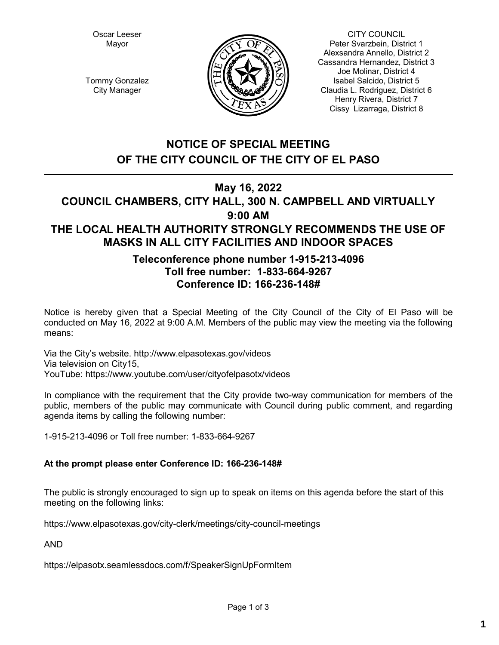Oscar Leeser Mayor



CITY COUNCIL Peter Svarzbein, District 1 Alexsandra Annello, District 2 Cassandra Hernandez, District 3 Joe Molinar, District 4 Isabel Salcido, District 5 Claudia L. Rodriguez, District 6 Henry Rivera, District 7 Cissy Lizarraga, District 8

Tommy Gonzalez City Manager

## **NOTICE OF SPECIAL MEETING OF THE CITY COUNCIL OF THE CITY OF EL PASO**

## **May 16, 2022**

## **COUNCIL CHAMBERS, CITY HALL, 300 N. CAMPBELL AND VIRTUALLY 9:00 AM THE LOCAL HEALTH AUTHORITY STRONGLY RECOMMENDS THE USE OF MASKS IN ALL CITY FACILITIES AND INDOOR SPACES**

## **Teleconference phone number 1-915-213-4096 Toll free number: 1-833-664-9267 Conference ID: 166-236-148#**

Notice is hereby given that a Special Meeting of the City Council of the City of El Paso will be conducted on May 16, 2022 at 9:00 A.M. Members of the public may view the meeting via the following means:

Via the City's website. http://www.elpasotexas.gov/videos Via television on City15, YouTube: https://www.youtube.com/user/cityofelpasotx/videos

In compliance with the requirement that the City provide two-way communication for members of the public, members of the public may communicate with Council during public comment, and regarding agenda items by calling the following number:

1-915-213-4096 or Toll free number: 1-833-664-9267

#### **At the prompt please enter Conference ID: 166-236-148#**

The public is strongly encouraged to sign up to speak on items on this agenda before the start of this meeting on the following links:

https://www.elpasotexas.gov/city-clerk/meetings/city-council-meetings

AND

https://elpasotx.seamlessdocs.com/f/SpeakerSignUpFormItem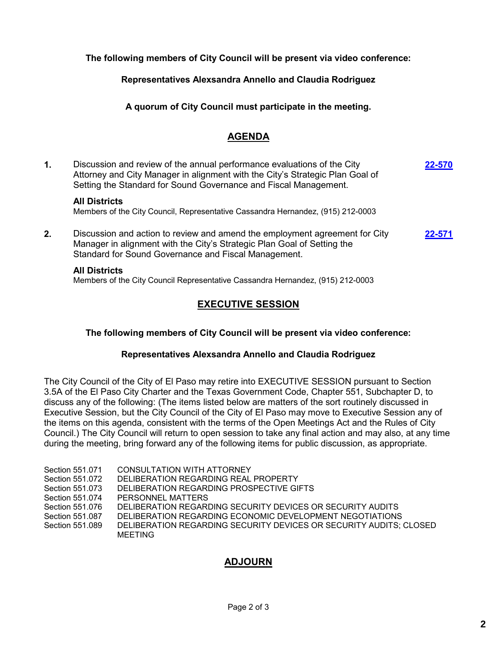**The following members of City Council will be present via video conference:**

**Representatives Alexsandra Annello and Claudia Rodriguez**

**A quorum of City Council must participate in the meeting.**

## **AGENDA**

**1.** Discussion and review of the annual performance evaluations of the City Attorney and City Manager in alignment with the City's Strategic Plan Goal of Setting the Standard for Sound Governance and Fiscal Management. **[22-570](http://elpasotexas.legistar.com/gateway.aspx?m=l&id=/matter.aspx?key=7034) All Districts** Members of the City Council, Representative Cassandra Hernandez, (915) 212-0003 **2.** Discussion and action to review and amend the employment agreement for City Manager in alignment with the City's Strategic Plan Goal of Setting the Standard for Sound Governance and Fiscal Management. **[22-571](http://elpasotexas.legistar.com/gateway.aspx?m=l&id=/matter.aspx?key=7035)**

#### **All Districts**

Members of the City Council Representative Cassandra Hernandez, (915) 212-0003

## **EXECUTIVE SESSION**

#### **The following members of City Council will be present via video conference:**

#### **Representatives Alexsandra Annello and Claudia Rodriguez**

The City Council of the City of El Paso may retire into EXECUTIVE SESSION pursuant to Section 3.5A of the El Paso City Charter and the Texas Government Code, Chapter 551, Subchapter D, to discuss any of the following: (The items listed below are matters of the sort routinely discussed in Executive Session, but the City Council of the City of El Paso may move to Executive Session any of the items on this agenda, consistent with the terms of the Open Meetings Act and the Rules of City Council.) The City Council will return to open session to take any final action and may also, at any time during the meeting, bring forward any of the following items for public discussion, as appropriate.

| Section 551.071 | CONSULTATION WITH ATTORNEY                                                    |
|-----------------|-------------------------------------------------------------------------------|
| Section 551.072 | DELIBERATION REGARDING REAL PROPERTY                                          |
| Section 551.073 | DELIBERATION REGARDING PROSPECTIVE GIFTS                                      |
| Section 551.074 | PERSONNEL MATTERS                                                             |
| Section 551.076 | DELIBERATION REGARDING SECURITY DEVICES OR SECURITY AUDITS                    |
| Section 551,087 | DELIBERATION REGARDING ECONOMIC DEVELOPMENT NEGOTIATIONS                      |
| Section 551.089 | DELIBERATION REGARDING SECURITY DEVICES OR SECURITY AUDITS; CLOSED<br>MEETING |

## **ADJOURN**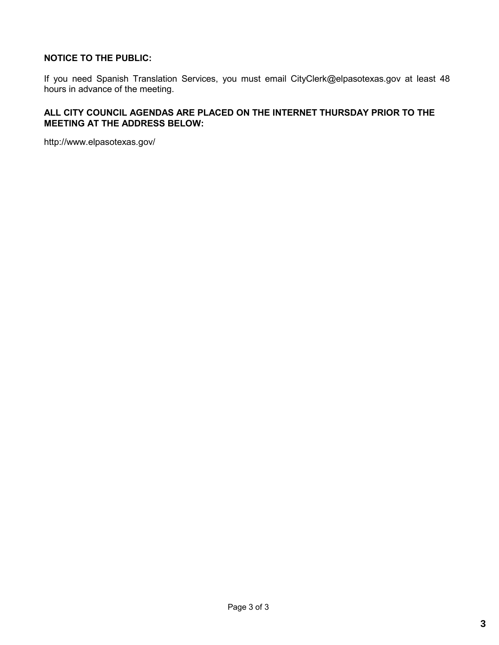#### **NOTICE TO THE PUBLIC:**

If you need Spanish Translation Services, you must email CityClerk@elpasotexas.gov at least 48 hours in advance of the meeting.

#### **ALL CITY COUNCIL AGENDAS ARE PLACED ON THE INTERNET THURSDAY PRIOR TO THE MEETING AT THE ADDRESS BELOW:**

http://www.elpasotexas.gov/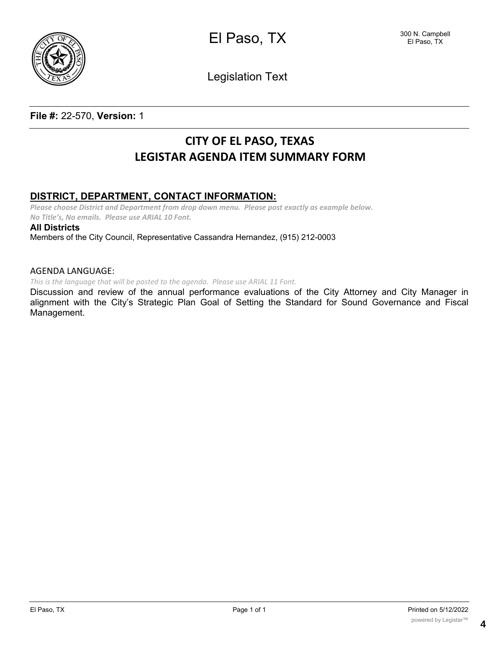

El Paso, TX

Legislation Text

### **File #:** 22-570, **Version:** 1

# **CITY OF EL PASO, TEXAS LEGISTAR AGENDA ITEM SUMMARY FORM**

### **DISTRICT, DEPARTMENT, CONTACT INFORMATION:**

*Please choose District and Department from drop down menu. Please post exactly as example below. No Title's, No emails. Please use ARIAL 10 Font.*

**All Districts**

Members of the City Council, Representative Cassandra Hernandez, (915) 212-0003

#### AGENDA LANGUAGE:

*This is the language that will be posted to the agenda. Please use ARIAL 11 Font.*

Discussion and review of the annual performance evaluations of the City Attorney and City Manager in alignment with the City's Strategic Plan Goal of Setting the Standard for Sound Governance and Fiscal Management.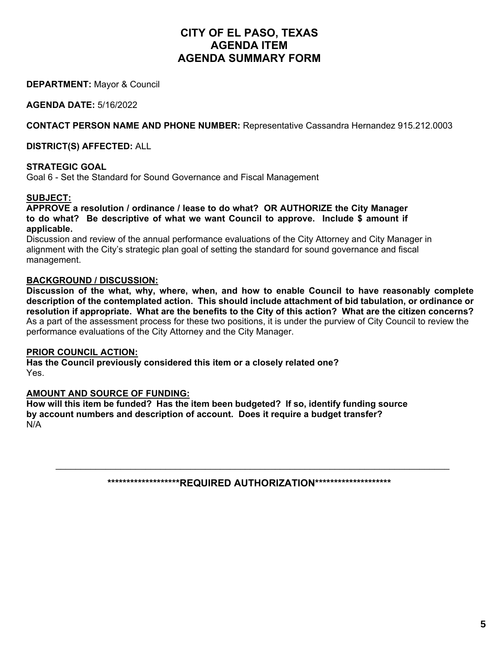## **CITY OF EL PASO, TEXAS AGENDA ITEM AGENDA SUMMARY FORM**

**DEPARTMENT:** Mayor & Council

**AGENDA DATE:** 5/16/2022

**CONTACT PERSON NAME AND PHONE NUMBER:** Representative Cassandra Hernandez 915.212.0003

**DISTRICT(S) AFFECTED:** ALL

#### **STRATEGIC GOAL**

Goal 6 - Set the Standard for Sound Governance and Fiscal Management

#### **SUBJECT:**

**APPROVE a resolution / ordinance / lease to do what? OR AUTHORIZE the City Manager to do what? Be descriptive of what we want Council to approve. Include \$ amount if applicable.** 

Discussion and review of the annual performance evaluations of the City Attorney and City Manager in alignment with the City's strategic plan goal of setting the standard for sound governance and fiscal management.

#### **BACKGROUND / DISCUSSION:**

**Discussion of the what, why, where, when, and how to enable Council to have reasonably complete description of the contemplated action. This should include attachment of bid tabulation, or ordinance or resolution if appropriate. What are the benefits to the City of this action? What are the citizen concerns?**  As a part of the assessment process for these two positions, it is under the purview of City Council to review the performance evaluations of the City Attorney and the City Manager.

#### **PRIOR COUNCIL ACTION:**

**Has the Council previously considered this item or a closely related one?**  Yes.

#### **AMOUNT AND SOURCE OF FUNDING:**

**How will this item be funded? Has the item been budgeted? If so, identify funding source by account numbers and description of account. Does it require a budget transfer?**  N/A

**\*\*\*\*\*\*\*\*\*\*\*\*\*\*\*\*\*\*\*REQUIRED AUTHORIZATION\*\*\*\*\*\*\*\*\*\*\*\*\*\*\*\*\*\*\*\*** 

\_\_\_\_\_\_\_\_\_\_\_\_\_\_\_\_\_\_\_\_\_\_\_\_\_\_\_\_\_\_\_\_\_\_\_\_\_\_\_\_\_\_\_\_\_\_\_\_\_\_\_\_\_\_\_\_\_\_\_\_\_\_\_\_\_\_\_\_\_\_\_\_\_\_\_\_\_\_\_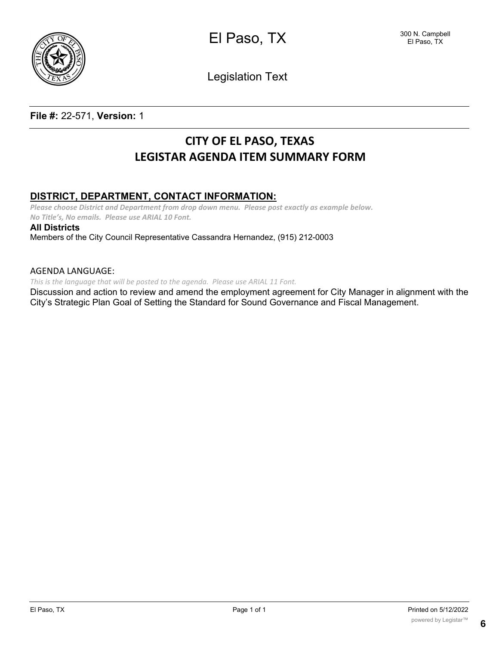

El Paso, TX

Legislation Text

### **File #:** 22-571, **Version:** 1

# **CITY OF EL PASO, TEXAS LEGISTAR AGENDA ITEM SUMMARY FORM**

### **DISTRICT, DEPARTMENT, CONTACT INFORMATION:**

*Please choose District and Department from drop down menu. Please post exactly as example below. No Title's, No emails. Please use ARIAL 10 Font.*

**All Districts**

Members of the City Council Representative Cassandra Hernandez, (915) 212-0003

#### AGENDA LANGUAGE:

*This is the language that will be posted to the agenda. Please use ARIAL 11 Font.*

Discussion and action to review and amend the employment agreement for City Manager in alignment with the City's Strategic Plan Goal of Setting the Standard for Sound Governance and Fiscal Management.